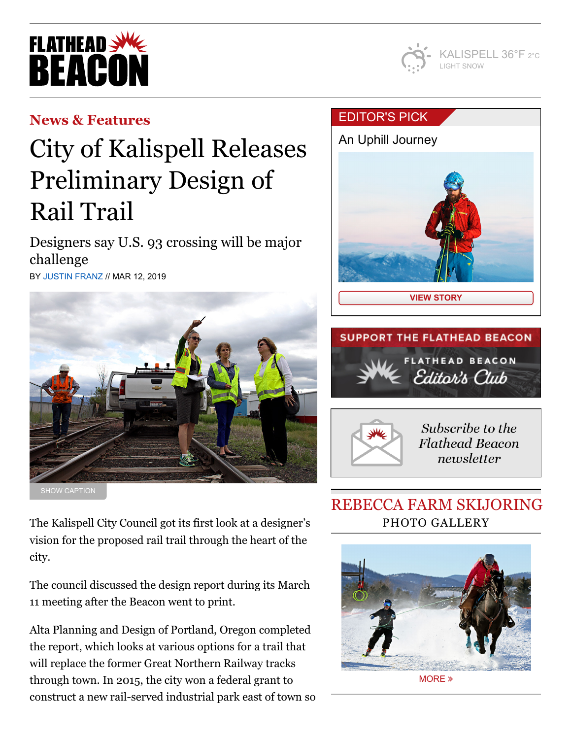# **FLATHEAD** REACO



### **[News & Features](https://flatheadbeacon.com/section/news-features/)**

# City of Kalispell Releases Preliminary Design of Rail Trail

Designers say U.S. 93 crossing will be major challenge BY [JUSTIN FRANZ](https://flatheadbeacon.com/author/justinfranz/) // MAR 12, 2019



The Kalispell City Council got its first look at a designer's vision for the proposed rail trail through the heart of the city.

The council discussed the design report during its March 11 meeting after the Beacon went to print.

Alta Planning and Design of Portland, Oregon completed the report, which looks at various options for a trail that will replace the former Great Northern Railway tracks through town. In 2015, the city won a federal grant to construct a new rail-served industrial park east of town so

### [EDITOR'S](https://flatheadbeacon.com/2019/03/06/an-uphill-journey/) PICK







Subscribe to the **Flathead Beacon** newsletter

## REBECCA FARM SKIJORING PHOTO GALLERY



[MORE](https://flatheadbeacon.com/galleries/skijoring-rebecca-farm/) »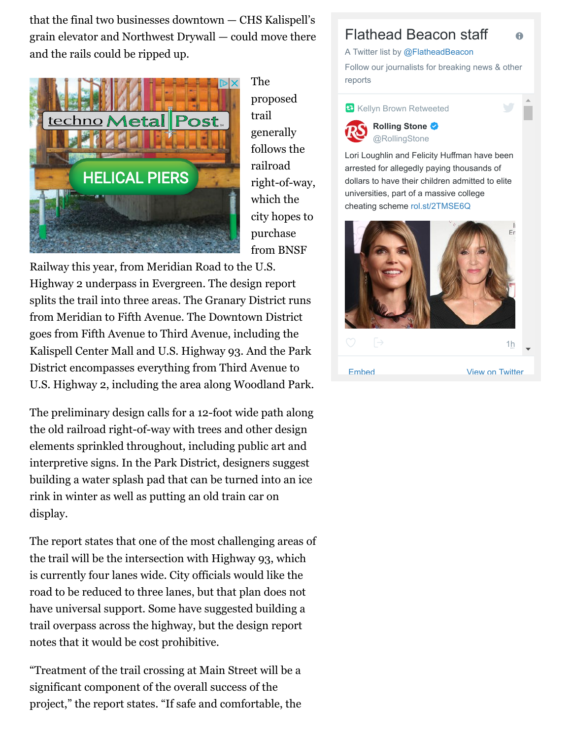$\alpha$  that the final two businesses downtown — CHS Kalispell's grain elevator and Northwest Drywall — could move there and the rails could be ripped up.



The proposed trail generally follows the railroad right-of-way, which the city hopes to purchase from BNSF

Railway this year, from Meridian Road to the U.S. Highway 2 underpass in Evergreen. The design report splits the trail into three areas. The Granary District runs from Meridian to Fifth Avenue. The Downtown District goes from Fifth Avenue to Third Avenue, including the Kalispell Center Mall and U.S. Highway 93. And the Park District encompasses everything from Third Avenue to U.S. Highway 2, including the area along Woodland Park.

The preliminary design calls for a 12-foot wide path along the old railroad right-of-way with trees and other design elements sprinkled throughout, including public art and interpretive signs. In the Park District, designers suggest building a water splash pad that can be turned into an ice rink in winter as well as putting an old train car on display.

The report states that one of the most challenging areas of the trail will be the intersection with Highway 93, which is currently four lanes wide. City officials would like the road to be reduced to three lanes, but that plan does not have universal support. Some have suggested building a trail overpass across the highway, but the design report notes that it would be cost prohibitive.

"Treatment of the trail crossing at Main Street will be a significant component of the overall success of the project," the report states. "If safe and comfortable, the

#### Flathead Beacon staff

A Twitter list by [@FlatheadBeacon](https://twitter.com/FlatheadBeacon)

Follow our journalists for breaking news & other reports

A

**Kellyn Brown Retweeted** 



**Rolling Stone** [@RollingStone](https://twitter.com/RollingStone)

Lori Loughlin and Felicity Huffman have been arrested for allegedly paying thousands of dollars to have their children admitted to elite universities, part of a massive college cheating scheme [rol.st/2TMSE6Q](https://t.co/MaUC1xH0Ct)

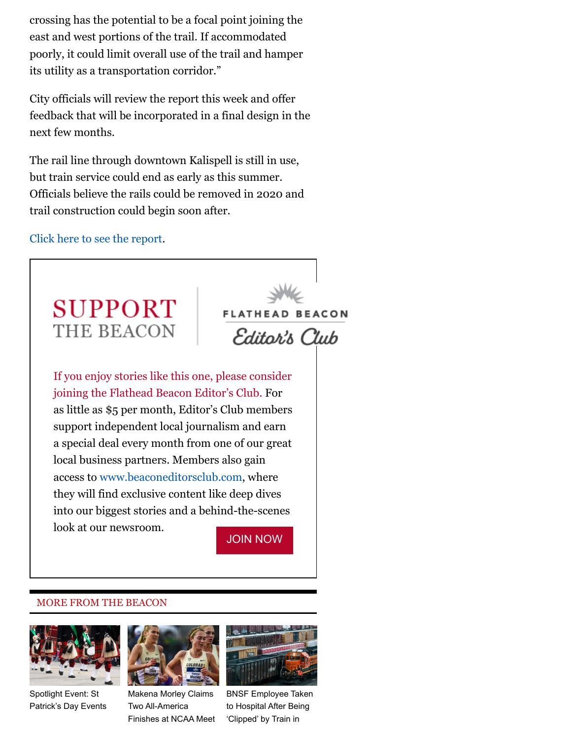crossing has the potential to be a focal point joining the east and west portions of the trail. If accommodated poorly, it could limit overall use of the trail and hamper its utility as a transportation corridor."

City officials will review the report this week and offer feedback that will be incorporated in a final design in the next few months.

The rail line through downtown Kalispell is still in use, but train service could end as early as this summer. Officials believe the rails could be removed in 2020 and trail construction could begin soon after.

[Click here to see the report.](https://www.kalispell.com/AgendaCenter/ViewFile/Agenda/_03112019-211)



#### MORE FROM THE BEACON



Spotlight Event: St [Patrick's Day Events](https://flatheadbeacon.com/2019/03/12/spotlight-event-st-patricks-day-events/)



[Finishes at NCAA Meet](https://flatheadbeacon.com/2019/03/12/makena-morley-claims-two-america-finishes-ncaa-meet/) 'Clipped' by Train in the latter release of the latter rail-Makena Morley Claims Two All-America



[BNSF Employee Taken](https://flatheadbeacon.com/2019/03/11/bnsf-employee-taken-hospital-clipped-train-whitefish/) to Hospital After Being 'Clipped' by Train in